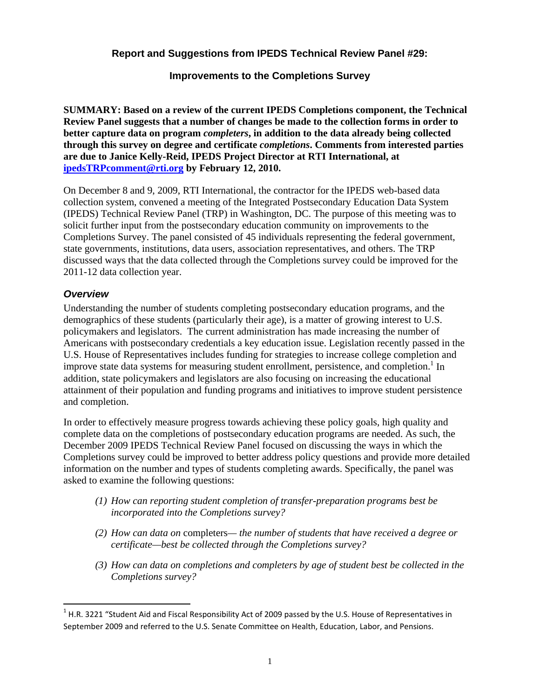### **Report and Suggestions from IPEDS Technical Review Panel #29:**

#### **Improvements to the Completions Survey**

**SUMMARY: Based on a review of the current IPEDS Completions component, the Technical Review Panel suggests that a number of changes be made to the collection forms in order to better capture data on program** *completers***, in addition to the data already being collected through this survey on degree and certificate** *completions***. Comments from interested parties are due to Janice Kelly-Reid, IPEDS Project Director at RTI International, at ipedsTRPcomment@rti.org by February 12, 2010.** 

On December 8 and 9, 2009, RTI International, the contractor for the IPEDS web-based data collection system, convened a meeting of the Integrated Postsecondary Education Data System (IPEDS) Technical Review Panel (TRP) in Washington, DC. The purpose of this meeting was to solicit further input from the postsecondary education community on improvements to the Completions Survey. The panel consisted of 45 individuals representing the federal government, state governments, institutions, data users, association representatives, and others. The TRP discussed ways that the data collected through the Completions survey could be improved for the 2011-12 data collection year.

#### *Overview*

 $\overline{a}$ 

Understanding the number of students completing postsecondary education programs, and the demographics of these students (particularly their age), is a matter of growing interest to U.S. policymakers and legislators. The current administration has made increasing the number of Americans with postsecondary credentials a key education issue. Legislation recently passed in the U.S. House of Representatives includes funding for strategies to increase college completion and improve state data systems for measuring student enrollment, persistence, and completion.<sup>1</sup> In addition, state policymakers and legislators are also focusing on increasing the educational attainment of their population and funding programs and initiatives to improve student persistence and completion.

In order to effectively measure progress towards achieving these policy goals, high quality and complete data on the completions of postsecondary education programs are needed. As such, the December 2009 IPEDS Technical Review Panel focused on discussing the ways in which the Completions survey could be improved to better address policy questions and provide more detailed information on the number and types of students completing awards. Specifically, the panel was asked to examine the following questions:

- *(1) How can reporting student completion of transfer-preparation programs best be incorporated into the Completions survey?*
- *(2) How can data on* completers*— the number of students that have received a degree or certificate—best be collected through the Completions survey?*
- *(3) How can data on completions and completers by age of student best be collected in the Completions survey?*

 $1$  H.R. 3221 "Student Aid and Fiscal Responsibility Act of 2009 passed by the U.S. House of Representatives in September 2009 and referred to the U.S. Senate Committee on Health, Education, Labor, and Pensions.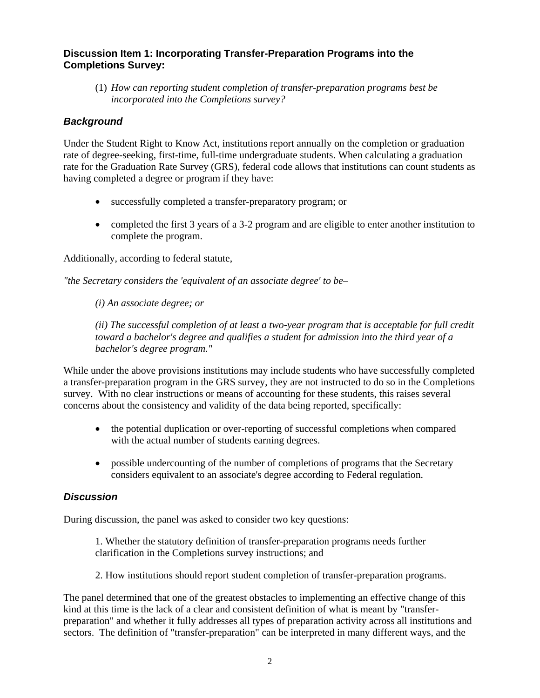# **Discussion Item 1: Incorporating Transfer-Preparation Programs into the Completions Survey:**

(1) *How can reporting student completion of transfer-preparation programs best be incorporated into the Completions survey?* 

# *Background*

Under the Student Right to Know Act, institutions report annually on the completion or graduation rate of degree-seeking, first-time, full-time undergraduate students. When calculating a graduation rate for the Graduation Rate Survey (GRS), federal code allows that institutions can count students as having completed a degree or program if they have:

- successfully completed a transfer-preparatory program; or
- completed the first 3 years of a 3-2 program and are eligible to enter another institution to complete the program.

Additionally, according to federal statute,

*"the Secretary considers the 'equivalent of an associate degree' to be*–

*(i) An associate degree; or*

*(ii) The successful completion of at least a two-year program that is acceptable for full credit toward a bachelor's degree and qualifies a student for admission into the third year of a bachelor's degree program."* 

While under the above provisions institutions may include students who have successfully completed a transfer-preparation program in the GRS survey, they are not instructed to do so in the Completions survey. With no clear instructions or means of accounting for these students, this raises several concerns about the consistency and validity of the data being reported, specifically:

- the potential duplication or over-reporting of successful completions when compared with the actual number of students earning degrees.
- possible undercounting of the number of completions of programs that the Secretary considers equivalent to an associate's degree according to Federal regulation.

# *Discussion*

During discussion, the panel was asked to consider two key questions:

1. Whether the statutory definition of transfer-preparation programs needs further clarification in the Completions survey instructions; and

2. How institutions should report student completion of transfer-preparation programs.

The panel determined that one of the greatest obstacles to implementing an effective change of this kind at this time is the lack of a clear and consistent definition of what is meant by "transferpreparation" and whether it fully addresses all types of preparation activity across all institutions and sectors. The definition of "transfer-preparation" can be interpreted in many different ways, and the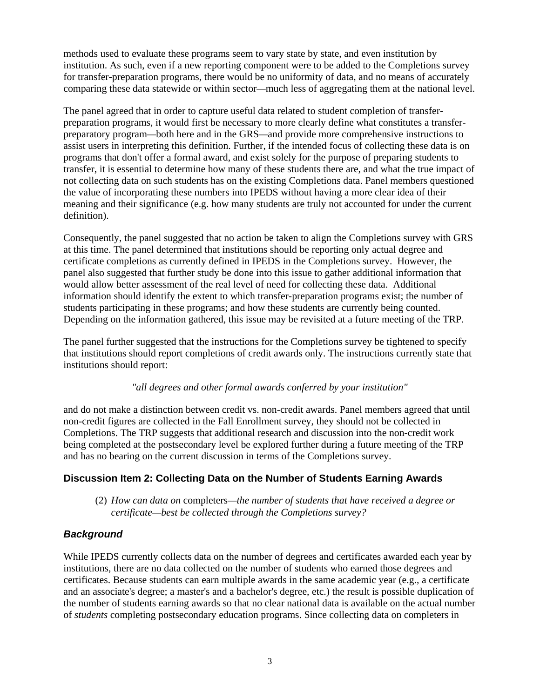methods used to evaluate these programs seem to vary state by state, and even institution by institution. As such, even if a new reporting component were to be added to the Completions survey for transfer-preparation programs, there would be no uniformity of data, and no means of accurately comparing these data statewide or within sector*—*much less of aggregating them at the national level.

The panel agreed that in order to capture useful data related to student completion of transferpreparation programs, it would first be necessary to more clearly define what constitutes a transferpreparatory program*—*both here and in the GRS*—*and provide more comprehensive instructions to assist users in interpreting this definition. Further, if the intended focus of collecting these data is on programs that don't offer a formal award, and exist solely for the purpose of preparing students to transfer, it is essential to determine how many of these students there are, and what the true impact of not collecting data on such students has on the existing Completions data. Panel members questioned the value of incorporating these numbers into IPEDS without having a more clear idea of their meaning and their significance (e.g. how many students are truly not accounted for under the current definition).

Consequently, the panel suggested that no action be taken to align the Completions survey with GRS at this time. The panel determined that institutions should be reporting only actual degree and certificate completions as currently defined in IPEDS in the Completions survey. However, the panel also suggested that further study be done into this issue to gather additional information that would allow better assessment of the real level of need for collecting these data. Additional information should identify the extent to which transfer-preparation programs exist; the number of students participating in these programs; and how these students are currently being counted. Depending on the information gathered, this issue may be revisited at a future meeting of the TRP.

The panel further suggested that the instructions for the Completions survey be tightened to specify that institutions should report completions of credit awards only. The instructions currently state that institutions should report:

#### *"all degrees and other formal awards conferred by your institution"*

and do not make a distinction between credit vs. non-credit awards. Panel members agreed that until non-credit figures are collected in the Fall Enrollment survey, they should not be collected in Completions. The TRP suggests that additional research and discussion into the non-credit work being completed at the postsecondary level be explored further during a future meeting of the TRP and has no bearing on the current discussion in terms of the Completions survey.

# **Discussion Item 2: Collecting Data on the Number of Students Earning Awards**

(2) *How can data on* completers*—the number of students that have received a degree or certificate—best be collected through the Completions survey?* 

#### *Background*

While IPEDS currently collects data on the number of degrees and certificates awarded each year by institutions, there are no data collected on the number of students who earned those degrees and certificates. Because students can earn multiple awards in the same academic year (e.g., a certificate and an associate's degree; a master's and a bachelor's degree, etc.) the result is possible duplication of the number of students earning awards so that no clear national data is available on the actual number of *students* completing postsecondary education programs. Since collecting data on completers in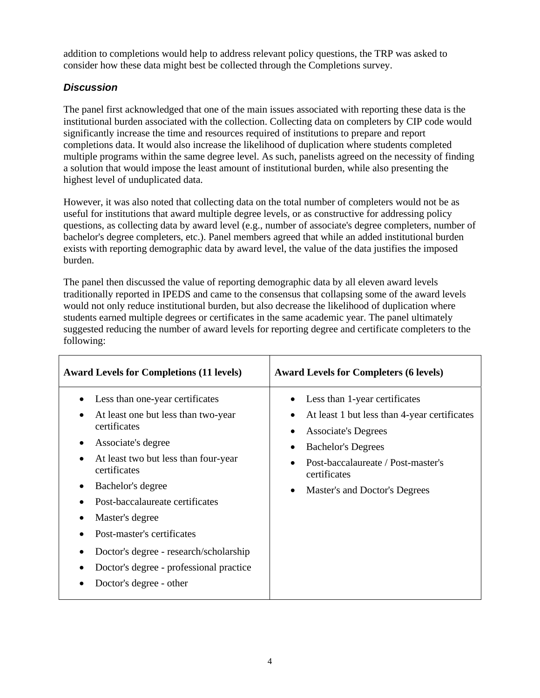addition to completions would help to address relevant policy questions, the TRP was asked to consider how these data might best be collected through the Completions survey.

# *Discussion*

The panel first acknowledged that one of the main issues associated with reporting these data is the institutional burden associated with the collection. Collecting data on completers by CIP code would significantly increase the time and resources required of institutions to prepare and report completions data. It would also increase the likelihood of duplication where students completed multiple programs within the same degree level. As such, panelists agreed on the necessity of finding a solution that would impose the least amount of institutional burden, while also presenting the highest level of unduplicated data.

However, it was also noted that collecting data on the total number of completers would not be as useful for institutions that award multiple degree levels, or as constructive for addressing policy questions, as collecting data by award level (e.g., number of associate's degree completers, number of bachelor's degree completers, etc.). Panel members agreed that while an added institutional burden exists with reporting demographic data by award level, the value of the data justifies the imposed burden.

The panel then discussed the value of reporting demographic data by all eleven award levels traditionally reported in IPEDS and came to the consensus that collapsing some of the award levels would not only reduce institutional burden, but also decrease the likelihood of duplication where students earned multiple degrees or certificates in the same academic year. The panel ultimately suggested reducing the number of award levels for reporting degree and certificate completers to the following:

| <b>Award Levels for Completions (11 levels)</b>                                                                                                                                                                                                                                                                                                                                                                         | <b>Award Levels for Completers (6 levels)</b>                                                                                                                                                                                                |
|-------------------------------------------------------------------------------------------------------------------------------------------------------------------------------------------------------------------------------------------------------------------------------------------------------------------------------------------------------------------------------------------------------------------------|----------------------------------------------------------------------------------------------------------------------------------------------------------------------------------------------------------------------------------------------|
| Less than one-year certificates<br>At least one but less than two-year<br>certificates<br>Associate's degree<br>At least two but less than four-year<br>certificates<br>Bachelor's degree<br>$\bullet$<br>Post-baccalaureate certificates<br>Master's degree<br>Post-master's certificates<br>Doctor's degree - research/scholarship<br>Doctor's degree - professional practice<br>$\bullet$<br>Doctor's degree - other | Less than 1-year certificates<br>At least 1 but less than 4-year certificates<br><b>Associate's Degrees</b><br><b>Bachelor's Degrees</b><br>Post-baccalaureate / Post-master's<br>certificates<br>Master's and Doctor's Degrees<br>$\bullet$ |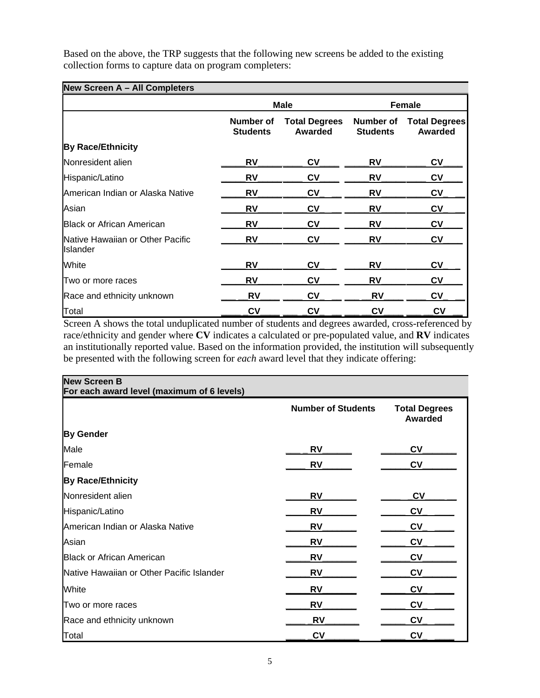Based on the above, the TRP suggests that the following new screens be added to the existing collection forms to capture data on program completers:

### **New Screen A – All Completers**

|                                                       | <b>Male</b>                  |                                 | <b>Female</b>                |                                 |
|-------------------------------------------------------|------------------------------|---------------------------------|------------------------------|---------------------------------|
|                                                       | Number of<br><b>Students</b> | <b>Total Degrees</b><br>Awarded | Number of<br><b>Students</b> | <b>Total Degrees</b><br>Awarded |
| <b>By Race/Ethnicity</b>                              |                              |                                 |                              |                                 |
| Nonresident alien                                     | RV                           | CV                              | RV                           | <b>CV</b>                       |
| Hispanic/Latino                                       | RV                           | <b>CV</b>                       | <b>RV</b>                    | c <sub>V</sub>                  |
| American Indian or Alaska Native                      | RV                           | CV                              | <b>RV</b>                    | $c_{V}$                         |
| Asian                                                 | RV                           | Cν                              | RV                           | <b>CV</b>                       |
| <b>Black or African American</b>                      | RV                           | Cν                              | RV                           | $c_{V}$                         |
| Native Hawaiian or Other Pacific<br><b>I</b> Islander | RV                           | CV                              | RV                           | <b>CV</b>                       |
| White                                                 | RV                           | Cν                              | RV                           | $c_{V}$                         |
| Two or more races                                     | RV                           | CV                              | RV                           | <b>CV</b>                       |
| Race and ethnicity unknown                            | RV                           | CV                              | <b>RV</b>                    | $c_{V}$                         |
| Total                                                 | <b>CV</b>                    | $c_{V}$                         | <b>CV</b>                    | <b>CV</b>                       |

Screen A shows the total unduplicated number of students and degrees awarded, cross-referenced by race/ethnicity and gender where **CV** indicates a calculated or pre-populated value, and **RV** indicates an institutionally reported value. Based on the information provided, the institution will subsequently be presented with the following screen for *each* award level that they indicate offering:

| <b>New Screen B</b><br>For each award level (maximum of 6 levels) |                           |                                        |
|-------------------------------------------------------------------|---------------------------|----------------------------------------|
|                                                                   | <b>Number of Students</b> | <b>Total Degrees</b><br><b>Awarded</b> |
| <b>By Gender</b>                                                  |                           |                                        |
| Male                                                              | <b>RV</b>                 | <b>CV</b>                              |
| Female                                                            | <b>RV</b>                 | <b>CV</b>                              |
| <b>By Race/Ethnicity</b>                                          |                           |                                        |
| Nonresident alien                                                 | <b>RV</b>                 | $c_{V}$                                |
| Hispanic/Latino                                                   | <b>RV</b>                 | <b>CV</b>                              |
| American Indian or Alaska Native                                  | RV                        | <b>CV</b>                              |
| Asian                                                             | <b>RV</b>                 | <b>CV</b>                              |
| <b>Black or African American</b>                                  | <b>RV</b>                 | <b>CV</b>                              |
| Native Hawaiian or Other Pacific Islander                         | <b>RV</b>                 | <b>CV</b>                              |
| White                                                             | <b>RV</b>                 | <b>CV</b>                              |
| Two or more races                                                 | <b>RV</b>                 | <b>CV</b>                              |
| Race and ethnicity unknown                                        | RV                        | <b>CV</b>                              |
| Total                                                             | CV                        | <b>CV</b>                              |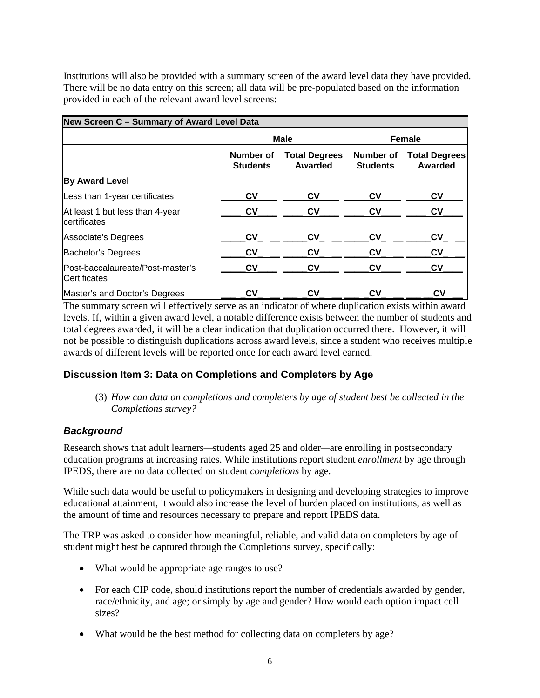Institutions will also be provided with a summary screen of the award level data they have provided. There will be no data entry on this screen; all data will be pre-populated based on the information provided in each of the relevant award level screens:

| New Screen C - Summary of Award Level Data              |                              |                                 |                              |                                 |
|---------------------------------------------------------|------------------------------|---------------------------------|------------------------------|---------------------------------|
|                                                         | <b>Male</b>                  |                                 | <b>Female</b>                |                                 |
|                                                         | Number of<br><b>Students</b> | <b>Total Degrees</b><br>Awarded | Number of<br><b>Students</b> | <b>Total Degrees</b><br>Awarded |
| <b>By Award Level</b>                                   |                              |                                 |                              |                                 |
| Less than 1-year certificates                           | <b>CV</b>                    | Cν                              | Cν                           | CV                              |
| At least 1 but less than 4-year<br>certificates         | Cν                           | CV                              | C٧                           | <b>CV</b>                       |
| Associate's Degrees                                     | CV                           | Cν                              | Cν                           | <b>CV</b>                       |
| Bachelor's Degrees                                      | $c_{V}$                      | Cν                              | Cν                           | <b>CV</b>                       |
| Post-baccalaureate/Post-master's<br><b>Certificates</b> | $c_{V}$                      | <b>CV</b>                       | C٧                           | $c_{V}$                         |
| Master's and Doctor's Degrees                           | CV                           | Cν                              | Cν                           | CV                              |

The summary screen will effectively serve as an indicator of where duplication exists within award levels. If, within a given award level, a notable difference exists between the number of students and total degrees awarded, it will be a clear indication that duplication occurred there. However, it will not be possible to distinguish duplications across award levels, since a student who receives multiple awards of different levels will be reported once for each award level earned.

# **Discussion Item 3: Data on Completions and Completers by Age**

(3) *How can data on completions and completers by age of student best be collected in the Completions survey?* 

# *Background*

Research shows that adult learners*—*students aged 25 and older*—*are enrolling in postsecondary education programs at increasing rates. While institutions report student *enrollment* by age through IPEDS, there are no data collected on student *completions* by age.

While such data would be useful to policymakers in designing and developing strategies to improve educational attainment, it would also increase the level of burden placed on institutions, as well as the amount of time and resources necessary to prepare and report IPEDS data.

The TRP was asked to consider how meaningful, reliable, and valid data on completers by age of student might best be captured through the Completions survey, specifically:

- What would be appropriate age ranges to use?
- For each CIP code, should institutions report the number of credentials awarded by gender, race/ethnicity, and age; or simply by age and gender? How would each option impact cell sizes?
- What would be the best method for collecting data on completers by age?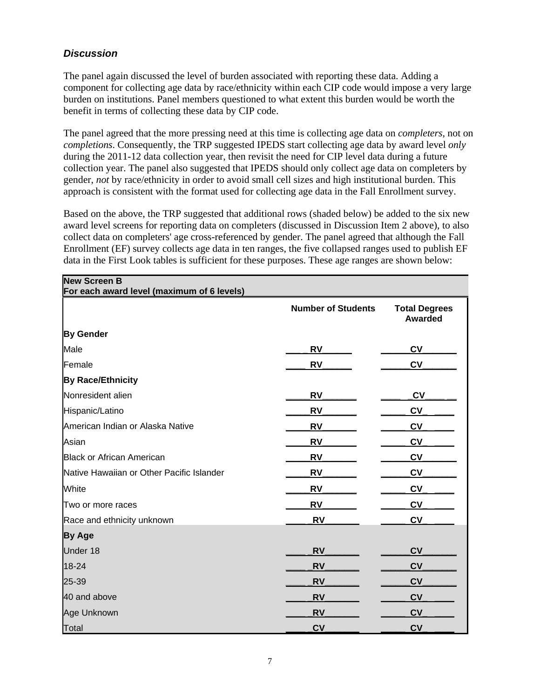# *Discussion*

The panel again discussed the level of burden associated with reporting these data. Adding a component for collecting age data by race/ethnicity within each CIP code would impose a very large burden on institutions. Panel members questioned to what extent this burden would be worth the benefit in terms of collecting these data by CIP code.

The panel agreed that the more pressing need at this time is collecting age data on *completers*, not on *completions*. Consequently, the TRP suggested IPEDS start collecting age data by award level *only*  during the 2011-12 data collection year, then revisit the need for CIP level data during a future collection year. The panel also suggested that IPEDS should only collect age data on completers by gender, *not* by race/ethnicity in order to avoid small cell sizes and high institutional burden. This approach is consistent with the format used for collecting age data in the Fall Enrollment survey.

Based on the above, the TRP suggested that additional rows (shaded below) be added to the six new award level screens for reporting data on completers (discussed in Discussion Item 2 above), to also collect data on completers' age cross-referenced by gender. The panel agreed that although the Fall Enrollment (EF) survey collects age data in ten ranges, the five collapsed ranges used to publish EF data in the First Look tables is sufficient for these purposes. These age ranges are shown below:

| <b>New Screen B</b><br>For each award level (maximum of 6 levels) |                           |                                        |
|-------------------------------------------------------------------|---------------------------|----------------------------------------|
|                                                                   | <b>Number of Students</b> | <b>Total Degrees</b><br><b>Awarded</b> |
| <b>By Gender</b>                                                  |                           |                                        |
| Male                                                              | <b>RV</b>                 | <b>CV</b>                              |
| Female                                                            | <b>RV</b>                 | <b>CV</b>                              |
| <b>By Race/Ethnicity</b>                                          |                           |                                        |
| Nonresident alien                                                 | <b>RV</b>                 | <b>CV</b>                              |
| Hispanic/Latino                                                   | <b>RV</b>                 | <b>CV</b>                              |
| American Indian or Alaska Native                                  | <b>RV</b>                 | <b>CV</b>                              |
| Asian                                                             | RV                        | <b>CV</b>                              |
| <b>Black or African American</b>                                  | <b>RV</b>                 | <b>CV</b>                              |
| Native Hawaiian or Other Pacific Islander                         | <b>RV</b>                 | <b>CV</b>                              |
| White                                                             | <b>RV</b>                 | <b>CV</b>                              |
| Two or more races                                                 | <b>RV</b>                 | <b>CV</b>                              |
| Race and ethnicity unknown                                        | <b>RV</b>                 | <b>CV</b>                              |
| <b>By Age</b>                                                     |                           |                                        |
| Under 18                                                          | <b>RV</b>                 | <b>CV</b>                              |
| 18-24                                                             | <b>RV</b>                 | <b>CV</b>                              |
| 25-39                                                             | <b>RV</b>                 | <b>CV</b>                              |
| 40 and above                                                      | <b>RV</b>                 | <b>CV</b>                              |
| Age Unknown                                                       | <b>RV</b>                 | CV                                     |
| Total                                                             | <b>CV</b>                 | <b>CV</b>                              |